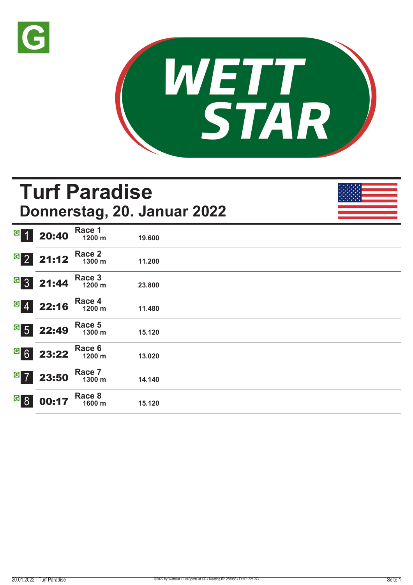



|                                             |                                                                                      |                  | <b>Turf Paradise</b><br>Donnerstag, 20. Januar 2022 |  |
|---------------------------------------------|--------------------------------------------------------------------------------------|------------------|-----------------------------------------------------|--|
| G 1                                         | 20:40                                                                                | Race 1<br>1200 m | 19,600                                              |  |
|                                             | $\begin{array}{ c c c }\n \hline\n \text{G} & \text{2} & \text{21:12}\n \end{array}$ | Race 2<br>1300 m | 11.200                                              |  |
|                                             | $G$ 3 21:44                                                                          | Race 3<br>1200 m | 23.800                                              |  |
| $\overline{G}$                              | 22:16                                                                                | Race 4<br>1200 m | 11.480                                              |  |
| $\overline{G}$ 5                            | 22:49                                                                                | Race 5<br>1300 m | 15.120                                              |  |
| G6                                          | 23:22                                                                                | Race 6<br>1200 m | 13.020                                              |  |
| $G$ 7                                       | 23:50                                                                                | Race 7<br>1300 m | 14.140                                              |  |
| $\overline{\text{G}}$ $\overline{\text{8}}$ | 00:1                                                                                 | Race 8<br>1600 m | 15.120                                              |  |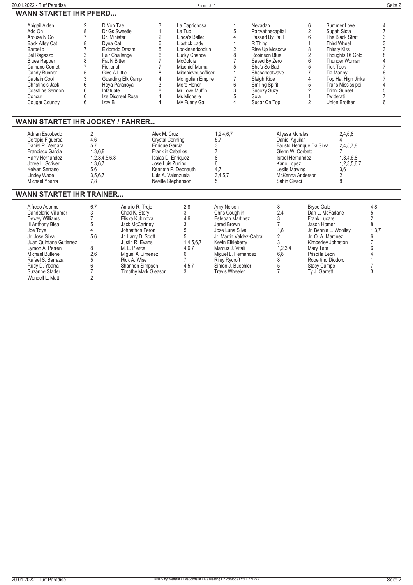| 20.01.2022 - Turf Paradise                                                                                                                                                                                                                                     |                                                                                                                                                                                                                                                                                                                                         |                                                                                                                                                                                                                                          | Rennen#10                                                                                                                                                                                                                           |                                                                                                                                                                                                                                              |                                                                                                                                                                                                                               |                                                                                                                                                                            |                                                                                                                                                                                                                                                                                  | Seite 2                                                                                                                                               |
|----------------------------------------------------------------------------------------------------------------------------------------------------------------------------------------------------------------------------------------------------------------|-----------------------------------------------------------------------------------------------------------------------------------------------------------------------------------------------------------------------------------------------------------------------------------------------------------------------------------------|------------------------------------------------------------------------------------------------------------------------------------------------------------------------------------------------------------------------------------------|-------------------------------------------------------------------------------------------------------------------------------------------------------------------------------------------------------------------------------------|----------------------------------------------------------------------------------------------------------------------------------------------------------------------------------------------------------------------------------------------|-------------------------------------------------------------------------------------------------------------------------------------------------------------------------------------------------------------------------------|----------------------------------------------------------------------------------------------------------------------------------------------------------------------------|----------------------------------------------------------------------------------------------------------------------------------------------------------------------------------------------------------------------------------------------------------------------------------|-------------------------------------------------------------------------------------------------------------------------------------------------------|
| <b>WANN STARTET IHR PFERD</b>                                                                                                                                                                                                                                  |                                                                                                                                                                                                                                                                                                                                         |                                                                                                                                                                                                                                          |                                                                                                                                                                                                                                     |                                                                                                                                                                                                                                              |                                                                                                                                                                                                                               |                                                                                                                                                                            |                                                                                                                                                                                                                                                                                  |                                                                                                                                                       |
| Abigail Alden<br>Add On<br>Arouse N Go<br><b>Back Alley Cat</b><br>Barbello<br>Bel Ragazzo<br><b>Blues Rapper</b><br>Camano Comet<br>Candy Runner<br>Captain Cool<br>Christine's Jack<br>Coastline Sermon<br>Concur<br><b>Cougar Country</b>                   | 2<br>D Von Tae<br>8<br>Dr Gs Sweetie<br>$\overline{7}$<br>Dr. Minister<br>8<br>Dyna Cat<br>$\overline{7}$<br>Eldorado Dream<br>3<br>Fair Challenge<br>8<br>Fat N Bitter<br>$\overline{7}$<br>Fictional<br>5<br>Give A Little<br>3<br>Guarding Elk Camp<br>6<br>Hoya Paranoya<br>6<br>Infatuate<br>6<br>Ize Discreet Rose<br>6<br>Izzy B | 3<br>1<br>$\overline{2}$<br>6<br>5<br>6<br>$\overline{7}$<br>$\overline{7}$<br>8<br>4<br>3<br>8<br>4<br>4                                                                                                                                | La Caprichosa<br>Le Tub<br>Linda's Ballet<br>Lipstick Lady<br>Lookinandcookin<br>Lucky Chance<br>McGoldie<br>Mischief Mama<br>Mischievousofficer<br>Mongolian Empire<br>More Honor<br>Mr Love Muffin<br>Ms Michelle<br>My Funny Gal | -1<br>5<br>4<br>$\mathbf{1}$<br>$\overline{2}$<br>8<br>$\overline{7}$<br>5<br>$\mathbf{1}$<br>$\overline{7}$<br>6<br>3<br>5<br>4                                                                                                             | Nevadan<br>Partyatthecapital<br>Passed By Paul<br>R Thing<br>Rise Up Moscow<br>Robinson Blue<br>Saved By Zero<br>She's So Bad<br>Shesaheatwave<br>Sleigh Ride<br><b>Smiling Spirit</b><br>Snoozy Suzy<br>Sola<br>Sugar On Top | 6<br>$\sqrt{2}$<br>$6\phantom{1}6$<br>1<br>8<br>$\sqrt{2}$<br>$6\phantom{a}$<br>5<br>$\overline{7}$<br>$\overline{4}$<br>5<br>$\sqrt{2}$<br>$\mathbf{1}$<br>$\overline{2}$ | Summer Love<br>Supah Sista<br>The Black Strat<br><b>Third Wheel</b><br><b>Thirsty Kiss</b><br>Thoughts Of Gold<br>Thunder Woman<br><b>Tick Tock</b><br><b>Tiz Manny</b><br>Top Hat High Jinks<br>Trans Mississippi<br><b>Trinni Sunset</b><br>Twitterati<br><b>Union Brother</b> | 4<br>$\overline{7}$<br>3<br>$\overline{3}$<br>3<br>8<br>4<br>$\overline{7}$<br>6<br>$\overline{7}$<br>$\begin{array}{c} 4 \\ 5 \\ 7 \end{array}$<br>6 |
| <b>WANN STARTET IHR JOCKEY / FAHRER</b>                                                                                                                                                                                                                        |                                                                                                                                                                                                                                                                                                                                         |                                                                                                                                                                                                                                          |                                                                                                                                                                                                                                     |                                                                                                                                                                                                                                              |                                                                                                                                                                                                                               |                                                                                                                                                                            |                                                                                                                                                                                                                                                                                  |                                                                                                                                                       |
| Adrian Escobedo<br>Cerapio Figueroa<br>Daniel P. Vergara<br>Francisco Garcia<br>Harry Hernandez<br>Joree L. Scriver<br>Keivan Serrano<br><b>Lindey Wade</b><br>Michael Ybarra                                                                                  | $\overline{2}$<br>4,6<br>5.7<br>1,3,6,8<br>1,2,3,4,5,6,8<br>1,3,6,7<br>5.6<br>3,5,6,7<br>7.8                                                                                                                                                                                                                                            |                                                                                                                                                                                                                                          | Alex M. Cruz<br><b>Crystal Conning</b><br>Enrique Garcia<br><b>Franklin Ceballos</b><br>Isaias D. Enriquez<br>Jose Luis Zunino<br>Kenneth P. Deonauth<br>Luis A. Valenzuela<br>Neville Stephenson                                   | 1,2,4,6,7<br>5,7<br>3<br>$\overline{7}$<br>8<br>$6\phantom{1}$<br>4.7<br>3,4,5,7<br>5                                                                                                                                                        | Karlo Lopez<br>Sahin Civaci                                                                                                                                                                                                   | Allyssa Morales<br>Daniel Aguilar<br>Fausto Henrique Da Silva<br>Glenn W. Corbett<br>Israel Hernandez<br>Leslie Mawing<br>McKenna Anderson                                 | 2,4,6,8<br>4<br>2,4,5,7,8<br>7<br>1,3,4,6,8<br>1,2,3,5,6,7<br>3.6<br>$\overline{2}$<br>8                                                                                                                                                                                         |                                                                                                                                                       |
| <b>WANN STARTET IHR TRAINER</b>                                                                                                                                                                                                                                |                                                                                                                                                                                                                                                                                                                                         |                                                                                                                                                                                                                                          |                                                                                                                                                                                                                                     |                                                                                                                                                                                                                                              |                                                                                                                                                                                                                               |                                                                                                                                                                            |                                                                                                                                                                                                                                                                                  |                                                                                                                                                       |
| Alfredo Asprino<br>Candelario Villamar<br><b>Dewey Williams</b><br>lii Anthony Blea<br>Joe Toye<br>Jr. José Silva<br>Juan Quintana Gutierrez<br>Lymon A. Perren<br>Michael Bullene<br>Rafael S. Barraza<br>Rudy D. Ybarra<br>Suzanne Stader<br>Wendell L. Matt | 6,7<br>3<br>$\overline{7}$<br>5<br>$\Delta$<br>5.6<br>$\mathbf{1}$<br>8<br>2.6<br>5<br>6<br>$\overline{7}$<br>$\overline{2}$                                                                                                                                                                                                            | Amalio R. Trejo<br>Chad K. Story<br>Eliska Kubinova<br>Jack McCartney<br>Johnathon Feron<br>Jr. Larry D. Scott<br>Justin R. Evans<br>M. L. Pierce<br>Miquel A. Jimenez<br>Rick A. Wise<br>Shannon Simpson<br><b>Timothy Mark Gleason</b> | 2,8<br>3<br>4.6<br>3<br>5<br>5<br>1,4,5,6,7<br>4,6,7<br>6<br>$\overline{7}$<br>4,5,7<br>3                                                                                                                                           | Amy Nelson<br>Chris Coughlin<br>Esteban Martinez<br>Jared Brown<br>Jose Luna Silva<br>Jr. Martin Valdez-Cabral<br>Kevin Eikleberry<br>Marcus J. Vitali<br>Miguel L. Hernandez<br>Riley Rycroft<br>Simon J. Buechler<br><b>Travis Wheeler</b> | 8<br>2,4<br>3<br>$\overline{7}$<br>1.8<br>2<br>3<br>1,2,3,4<br>6.8<br>8<br>5<br>$\overline{7}$                                                                                                                                | <b>Bryce Gale</b><br>Frank Lucarelli<br>Jason Homer<br>Mary Tate<br>Priscilla Leon<br><b>Stacy Campo</b><br>Ty J. Garrett                                                  | Dan L. McFarlane<br>Jr. Bennie L. Woolley<br>Jr. O. A. Martinez<br>Kimberley Johnston<br>Robertino Diodoro                                                                                                                                                                       | 4,8<br>$\,$ 5 $\,$<br>$\overline{2}$<br>8<br>1,3,7<br>6<br>$\overline{7}$<br>6<br>Δ<br>1<br>$\overline{7}$<br>3                                       |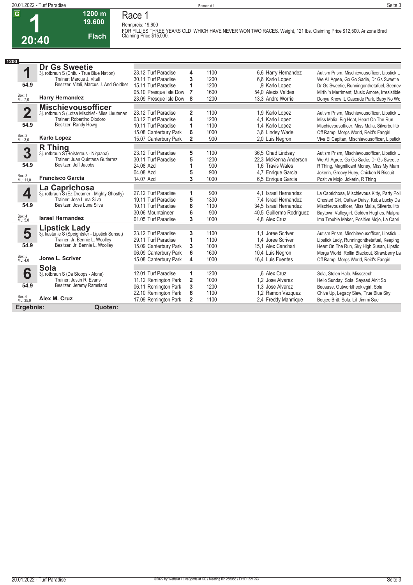

**1 20:40 1200 m 19.600 Flach**

**Race 1 Rennpreis: 19.600 FOR FILLIES THREE YEARS OLD WHICH HAVE NEVER WON TWO RACES. Weight, 121 lbs. Claiming Price \$12,500. Arizona Bred Claiming Price \$15,000.** 

| 1200                    |                                                 |                        |                         |      |                          |                                               |
|-------------------------|-------------------------------------------------|------------------------|-------------------------|------|--------------------------|-----------------------------------------------|
|                         | <b>Dr Gs Sweetie</b>                            |                        |                         |      |                          |                                               |
| 1                       | 3j. rotbraun S (Chitu - True Blue Nation)       | 23.12 Turf Paradise    | 4                       | 1100 | 6.6 Harry Hernandez      | Autism Prism, Mischievousofficer, Lipstick L  |
|                         | Trainer: Marcus J. Vitali                       | 30.11 Turf Paradise    | 3                       | 1200 | 6.6 Karlo Lopez          | We All Agree, Go Go Sadie, Dr Gs Sweetie      |
| 54.9                    | Besitzer: Vitali, Marcus J. And Goldber         | 15.11 Turf Paradise    | 1                       | 1200 | .9 Karlo Lopez           | Dr Gs Sweetie, Runningonthetafuel, Seenev     |
|                         |                                                 | 05.10 Presque Isle Dow | 7                       | 1600 | 54.0 Alexis Valdes       | Mirth 'n Merriment. Music Amore. Irresistible |
| Box: 1<br>ML: 7,0       | <b>Harry Hernandez</b>                          | 23.09 Presque Isle Dow | 8                       | 1200 | 13.3 Andre Worrie        | Donya Know It, Cascade Park, Baby No Wo       |
|                         | <b>Mischievousofficer</b>                       |                        |                         |      |                          |                                               |
| $\overline{\mathbf{2}}$ | 3j. rotbraun S (Lotsa Mischief - Miss Lieutenan | 23.12 Turf Paradise    | $\mathbf{2}$            | 1100 | 1.9 Karlo Lopez          | Autism Prism, Mischievousofficer, Lipstick L  |
|                         | Trainer: Robertino Diodoro                      | 03.12 Turf Paradise    | 4                       | 1200 | 4.1 Karlo Lopez          | Miss Malia, Big Heat, Heart On The Run        |
| 54.9                    | Besitzer: Randy Howg                            | 10.11 Turf Paradise    | 1                       | 1100 | 1.4 Karlo Lopez          | Mischievousofficer, Miss Malia, Silverbullitb |
|                         |                                                 | 15.08 Canterbury Park  | 6                       | 1000 | 3.6 Lindey Wade          | Off Ramp, Morgs World, Reid's Fangirl         |
| Box: 2<br>ML: 3,0       | <b>Karlo Lopez</b>                              | 15.07 Canterbury Park  | $\overline{2}$          | 900  | 2.0 Luis Negron          | Viva El Capitan, Mischievousofficer, Lipstick |
|                         | <b>R</b> Thing                                  |                        |                         |      |                          |                                               |
| 3                       | 3j. rotbraun S (Boisterous - Niqaaba)           | 23.12 Turf Paradise    | 5                       | 1100 | 36,5 Chad Lindsay        | Autism Prism, Mischievousofficer, Lipstick L  |
|                         | Trainer: Juan Quintana Gutierrez                | 30.11 Turf Paradise    | 5                       | 1200 | 22.3 McKenna Anderson    | We All Agree, Go Go Sadie, Dr Gs Sweetie      |
| 54.9                    | Besitzer: Jeff Jacobs                           | 24.08 Azd              | 1                       | 900  | 1.6 Travis Wales         | R Thing, Magnificant Money, Miss My Mam       |
|                         |                                                 | 04.08 Azd              | 5                       | 900  | 4,7 Enrique Garcia       | Jokerin, Groovy Huey, Chicken N Biscuit       |
| Box: 3<br>ML: 11,0      | <b>Francisco Garcia</b>                         | 14.07 Azd              | 3                       | 1000 | 6.5 Enrique Garcia       | Positive Mojo, Jokerin, R Thing               |
|                         | La Caprichosa                                   |                        |                         |      |                          |                                               |
| 4                       | 3j. rotbraun S (Ez Dreamer - Mighty Ghostly)    | 27.12 Turf Paradise    | 1                       | 900  | 4.1 Israel Hernandez     | La Caprichosa, Mischievous Kitty, Party Poli  |
|                         | Trainer: Jose Luna Silva                        | 19.11 Turf Paradise    | 5                       | 1300 | 7.4 Israel Hernandez     | Ghosted Girl, Outlaw Daisy, Keba Lucky Da     |
| 54.9                    | Besitzer: Jose Luna Silva                       | 10.11 Turf Paradise    | 6                       | 1100 | 34.5 Israel Hernandez    | Mischievousofficer, Miss Malia, Silverbullitb |
|                         |                                                 | 30.06 Mountaineer      | 6                       | 900  | 40,5 Guillermo Rodriguez | Baytown Valleygirl, Golden Hughes, Malpra     |
| Box: 4<br>ML: 5.0       | <b>Israel Hernandez</b>                         | 01.05 Turf Paradise    | 3                       | 1000 | 4.8 Alex Cruz            | Ima Trouble Maker, Positive Mojo, La Capri    |
|                         | <b>Lipstick Lady</b>                            |                        |                         |      |                          |                                               |
| 5                       | 3j. kastanie S (Speightster - Lipstick Sunset)  | 23.12 Turf Paradise    | 3                       | 1100 | 1.1 Joree Scriver        | Autism Prism, Mischievousofficer, Lipstick L  |
|                         | Trainer: Jr. Bennie L. Woolley                  | 29.11 Turf Paradise    | 1                       | 1100 | 1.4 Joree Scriver        | Lipstick Lady, Runningonthetafuel, Keeping    |
| 54.9                    | Besitzer: Jr. Bennie L. Woolley                 | 15.09 Canterbury Park  | 3                       | 1000 | 15.1 Alex Canchari       | Heart On The Run, Sky High Susan, Lipstic     |
|                         |                                                 | 06.09 Canterbury Park  | 6                       | 1600 | 10,4 Luis Negron         | Morgs World, Rollin Blackout, Strawberry La   |
| Box: 5<br>ML: 4,0       | Joree L. Scriver                                | 15.08 Canterbury Park  | 4                       | 1000 | 16,4 Luis Fuentes        | Off Ramp, Morgs World, Reid's Fangirl         |
|                         | <b>Sola</b>                                     |                        |                         |      |                          |                                               |
| 6                       | 3j. rotbraun S (Da Stoops - Alone)              | 12.01 Turf Paradise    | 1                       | 1200 | .6 Alex Cruz             | Sola, Stolen Halo, Missczech                  |
|                         | Trainer: Justin R. Evans                        | 11.12 Remington Park   | $\overline{\mathbf{2}}$ | 1000 | 1.2 Jose Alvarez         | Hello Sunday, Sola, Sayaad Ain't So           |
| 54.9                    | Besitzer: Jeremy Ramsland                       | 06.11 Remington Park   | 3                       | 1200 | 1.3 Jose Alvarez         | Because, Outworktheokiegirl, Sola             |
|                         |                                                 | 22.10 Remington Park   | 6                       | 1100 | 1,2 Ramon Vazquez        | Chive Up, Legacy Slew, True Blue Sky          |
| Box: 6<br>ML: 35,0      | Alex M. Cruz                                    | 17.09 Remington Park   | $\mathbf{2}$            | 1100 | 2,4 Freddy Manrrique     | Boujee Britt, Sola, Lil' Jimmi Sue            |
| Ergebnis:               | Quoten:                                         |                        |                         |      |                          |                                               |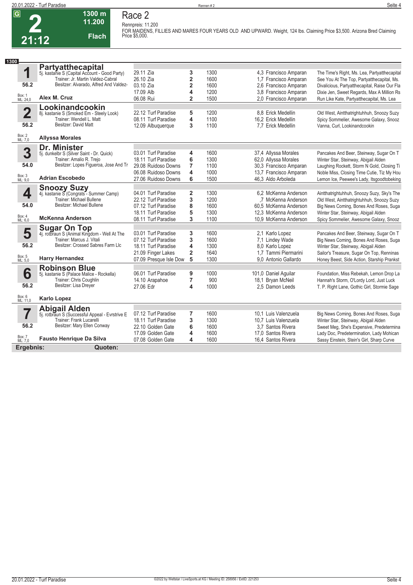

## **1300 m 11.200 Flach**

**Race 2**

**Rennpreis: 11.200 FOR MAIDENS, FILLIES AND MARES FOUR YEARS OLD AND UPWARD. Weight, 124 lbs. Claiming Price \$3,500. Arizona Bred Claiming Price \$5,000.** 

| 1300                    |                                                                                    |                        |                         |      |                        |                                               |
|-------------------------|------------------------------------------------------------------------------------|------------------------|-------------------------|------|------------------------|-----------------------------------------------|
|                         | <b>Partyatthecapital</b>                                                           |                        |                         |      |                        |                                               |
| 1                       | 5j. kastanie S (Capital Account - Good Party)<br>Trainer: Jr. Martin Valdez-Cabral | 29.11 Zia              | 3                       | 1300 | 4.3 Francisco Amparan  | The Time's Right, Ms. Lea, Partyatthecapital  |
|                         |                                                                                    | 26.10 Zia              | $\overline{\mathbf{2}}$ | 1600 | 1,7 Francisco Amparan  | See You At The Top, Partyatthecapital, Ms.    |
| 56.2                    | Besitzer: Alvarado, Alfred And Valdez-                                             | 03.10 Zia              | $\overline{\mathbf{2}}$ | 1600 | 2,6 Francisco Amparan  | Divalicious, Partyatthecapital, Raise Our Fla |
|                         |                                                                                    | 17.09 Alb              | 4                       | 1200 | 3,8 Francisco Amparan  | Dixie Jen, Sweet Regards, Max A Million Rs    |
| Box: 1<br>ML: 24,0      | Alex M. Cruz                                                                       | 06.08 Rui              | $\overline{2}$          | 1500 | 2.0 Francisco Amparan  | Run Like Kate, Partyatthecapital, Ms. Lea     |
|                         | Lookinandcookin                                                                    |                        |                         |      |                        |                                               |
| $\overline{\mathbf{2}}$ | 8j. kastanie S (Smoked Em - Steely Look)                                           | 22.12 Turf Paradise    | 5                       | 1200 | 8.8 Erick Medellin     | Old West, Aintthatrightuhhuh, Snoozy Suzy     |
|                         | Trainer: Wendell L. Matt                                                           | 08.11 Turf Paradise    | 4                       | 1100 | 16,2 Erick Medellin    | Spicy Sommelier, Awesome Galaxy, Snooz        |
| 56.2                    | Besitzer: David Matt                                                               | 12.09 Albuquerque      | 3                       | 1100 | 7.7 Erick Medellin     | Vanna, Curl, Lookinandcookin                  |
| Box: 2<br>ML: 7,0       | <b>Allyssa Morales</b>                                                             |                        |                         |      |                        |                                               |
|                         | Dr. Minister                                                                       |                        |                         |      |                        |                                               |
| 3                       | 5j. dunkelbr S (Silver Saint - Dr. Quick)                                          | 03.01 Turf Paradise    | 4                       | 1600 | 37,4 Allyssa Morales   | Pancakes And Beer, Steinway, Sugar On T       |
|                         | Trainer: Amalio R. Trejo                                                           | 18.11 Turf Paradise    | 6                       | 1300 | 62,0 Allyssa Morales   | Winter Star, Steinway, Abigail Alden          |
| 54.0                    | Besitzer: Lopes Figueroa, Jose And Tr                                              | 29.08 Ruidoso Downs    | $\overline{7}$          | 1100 | 30,3 Francisco Amparan | Laughing Rockett, Storm N Gold, Closing Ti    |
|                         |                                                                                    | 06.08 Ruidoso Downs    | 4                       | 1000 | 13,7 Francisco Amparan | Noble Miss, Closing Time Cutie, Tiz My Hou    |
| Box: 3<br>ML: 9,0       | <b>Adrian Escobedo</b>                                                             | 27.06 Ruidoso Downs    | 6                       | 1500 | 46,3 Aldo Arboleda     | Lemon Ice, Peewee's Lady, Itsgoodtobeking     |
|                         |                                                                                    |                        |                         |      |                        |                                               |
| 4                       | <b>Snoozy Suzy</b><br>4j. kastanie S (Congrats - Summer Camp)                      | 04.01 Turf Paradise    | $\overline{2}$          | 1300 | 6.2 McKenna Anderson   | Aintthatrightuhhuh, Snoozy Suzy, Sky's The    |
|                         | Trainer: Michael Bullene                                                           | 22.12 Turf Paradise    | 3                       | 1200 | .7 McKenna Anderson    | Old West, Aintthatrightuhhuh, Snoozy Suzy     |
| 54.0                    | Besitzer: Michael Bullene                                                          | 07.12 Turf Paradise    | 8                       | 1600 | 60.5 McKenna Anderson  | Big News Coming, Bones And Roses, Suga        |
|                         |                                                                                    | 18.11 Turf Paradise    | 5                       | 1300 | 12.3 McKenna Anderson  | Winter Star, Steinway, Abigail Alden          |
| Box: 4<br>ML: 6,0       | <b>McKenna Anderson</b>                                                            | 08.11 Turf Paradise    | 3                       | 1100 | 10.9 McKenna Anderson  | Spicy Sommelier, Awesome Galaxy, Snooz        |
|                         |                                                                                    |                        |                         |      |                        |                                               |
| 5                       | <b>Sugar On Top</b><br>4j. rotbraun S (Animal Kingdom - Well At The                | 03.01 Turf Paradise    | 3                       | 1600 | 2.1 Karlo Lopez        | Pancakes And Beer, Steinway, Sugar On T       |
|                         | Trainer: Marcus J. Vitali                                                          | 07.12 Turf Paradise    | 3                       | 1600 | 7.1 Lindey Wade        | Big News Coming, Bones And Roses, Suga        |
| 56.2                    | Besitzer: Crossed Sabres Farm Llc                                                  | 18.11 Turf Paradise    | 4                       | 1300 | 8.0 Karlo Lopez        | Winter Star, Steinway, Abigail Alden          |
|                         |                                                                                    | 21.09 Finger Lakes     | $\overline{\mathbf{2}}$ | 1640 | 1,7 Tammi Piermarini   | Sailor's Treasure, Sugar On Top, Renninas     |
| Box: 5<br>ML: 5,0       | <b>Harry Hernandez</b>                                                             | 07.09 Presque Isle Dow | 5                       | 1300 | 9.0 Antonio Gallardo   | Honey Beest, Side Action, Starship Prankst    |
|                         | <b>Robinson Blue</b>                                                               |                        |                         |      |                        |                                               |
| 6                       | 5j. kastanie S (Palace Malice - Rockella)                                          | 06.01 Turf Paradise    | 9                       | 1000 | 101,0 Daniel Aguilar   | Foundation, Miss Rebekah, Lemon Drop La       |
|                         | Trainer: Chris Coughlin                                                            | 14.10 Arapahoe         | $\overline{7}$          | 900  | 18.1 Bryan McNeil      | Hannah's Storm, O'Lordy Lord, Just Luck       |
| 56.2                    | Besitzer: Lisa Dreyer                                                              | 27.06 Edr              | 4                       | 1000 | 2.5 Damon Leeds        | T. P. Right Lane, Gothic Girl, Stormie Sage   |
| Box: 6<br>ML: 11,0      | <b>Karlo Lopez</b>                                                                 |                        |                         |      |                        |                                               |
|                         | <b>Abigail Alden</b>                                                               |                        |                         |      |                        |                                               |
|                         | 5j. rotbraun S (Successful Appeal - Evrstrive E                                    | 07.12 Turf Paradise    | 7                       | 1600 | 10,1 Luis Valenzuela   | Big News Coming, Bones And Roses, Suga        |
|                         | Trainer: Frank Lucarelli                                                           | 18.11 Turf Paradise    | 3                       | 1300 | 10.7 Luis Valenzuela   | Winter Star, Steinway, Abigail Alden          |
| 56.2                    | Besitzer: Mary Ellen Conway                                                        | 22.10 Golden Gate      | 6                       | 1600 | 3.7 Santos Rivera      | Sweet Meg, She's Expensive, Predetermina      |
|                         |                                                                                    | 17.09 Golden Gate      | 4                       | 1600 | 17.0 Santos Rivera     | Lady Doc, Predetermination, Lady Mohican      |
| Box: 7<br>ML: 7,0       | <b>Fausto Henrique Da Silva</b>                                                    | 07.08 Golden Gate      | 4                       | 1600 | 16,4 Santos Rivera     | Sassy Einstein, Stein's Girl, Sharp Curve     |
| Ergebnis:               | Quoten:                                                                            |                        |                         |      |                        |                                               |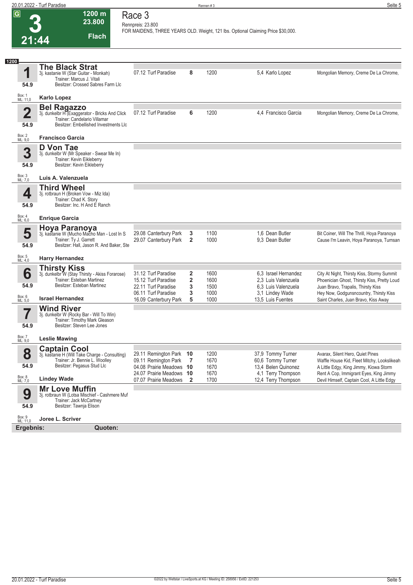| 20.01.2022 - Turf Paradise |          | Seite 5 |
|----------------------------|----------|---------|
|                            | Rennen # |         |

| $\overline{G}$<br>21:44         | $1200 \text{ m}$<br>23.800<br><b>Flach</b>                                                                                                         | Race 3<br>Rennpreis: 23.800                                                              |                     |                              | FOR MAIDENS, THREE YEARS OLD. Weight, 121 lbs. Optional Claiming Price \$30,000.      |                                                                                                                                                                           |
|---------------------------------|----------------------------------------------------------------------------------------------------------------------------------------------------|------------------------------------------------------------------------------------------|---------------------|------------------------------|---------------------------------------------------------------------------------------|---------------------------------------------------------------------------------------------------------------------------------------------------------------------------|
| 1200<br>1                       | <b>The Black Strat</b><br>3j. kastanie W (Star Guitar - Monkah)                                                                                    | 07.12 Turf Paradise                                                                      | 8                   | 1200                         | 5,4 Karlo Lopez                                                                       | Mongolian Memory, Creme De La Chrome,                                                                                                                                     |
| 54.9                            | Trainer: Marcus J. Vitali<br>Besitzer: Crossed Sabres Farm Llc                                                                                     |                                                                                          |                     |                              |                                                                                       |                                                                                                                                                                           |
| Box: 1<br>ML: 11,0              | <b>Karlo Lopez</b>                                                                                                                                 |                                                                                          |                     |                              |                                                                                       |                                                                                                                                                                           |
| $\overline{\mathbf{2}}$<br>54.9 | <b>Bel Ragazzo</b><br>3j. dunkelbr H (Exaggerator - Bricks And Click<br>Trainer: Candelario Villamar<br>Besitzer: Embellished Investments LIc      | 07.12 Turf Paradise                                                                      | 6                   | 1200                         | 4,4 Francisco Garcia                                                                  | Mongolian Memory, Creme De La Chrome,                                                                                                                                     |
| Box: 2<br>ML: 9,0               | <b>Francisco Garcia</b>                                                                                                                            |                                                                                          |                     |                              |                                                                                       |                                                                                                                                                                           |
| 3<br>54.9                       | D Von Tae<br>3j. dunkelbr W (Mr Speaker - Swear Me In)<br>Trainer: Kevin Eikleberry<br>Besitzer: Kevin Eikleberry                                  |                                                                                          |                     |                              |                                                                                       |                                                                                                                                                                           |
| Box: 3<br>ML: 7,0               | Luis A. Valenzuela                                                                                                                                 |                                                                                          |                     |                              |                                                                                       |                                                                                                                                                                           |
| 4<br>54.9                       | <b>Third Wheel</b><br>3j. rotbraun H (Broken Vow - Miz Ida)<br>Trainer: Chad K. Story<br>Besitzer: Inc. H And E Ranch                              |                                                                                          |                     |                              |                                                                                       |                                                                                                                                                                           |
| Box: 4<br>ML: 6,0               | <b>Enrique Garcia</b>                                                                                                                              |                                                                                          |                     |                              |                                                                                       |                                                                                                                                                                           |
| 5<br>54.9                       | Hoya Paranoya<br>3j. kastanie W (Mucho Macho Man - Lost In S<br>Trainer: Ty J. Garrett<br>Besitzer: Hall, Jason R. And Baker, Ste                  | 29.08 Canterbury Park<br>29.07 Canterbury Park                                           | 3<br>$\overline{2}$ | 1100<br>1000                 | 1.6 Dean Butler<br>9.3 Dean Butler                                                    | Bit Coiner, Will The Thrill, Hoya Paranoya<br>Cause I'm Leavin, Hoya Paranoya, Turnsan                                                                                    |
| Box: 5<br>ML: 4,0               | <b>Harry Hernandez</b>                                                                                                                             |                                                                                          |                     |                              |                                                                                       |                                                                                                                                                                           |
| 6<br>54.9                       | <b>Thirsty Kiss</b><br>3j. dunkelbr W (Stay Thirsty - Akiss Forarose)<br>Trainer: Esteban Martinez<br>Besitzer: Esteban Martinez                   | 31.12 Turf Paradise<br>15.12 Turf Paradise<br>22.11 Turf Paradise<br>06.11 Turf Paradise | 2<br>2<br>3<br>3    | 1600<br>1600<br>1500<br>1000 | 6.3 Israel Hernandez<br>2.3 Luis Valenzuela<br>6.3 Luis Valenzuela<br>3,1 Lindey Wade | City At Night, Thirsty Kiss, Stormy Summit<br>Phoenician Ghost, Thirsty Kiss, Pretty Loud<br>Juan Bravo, Trapalis, Thirsty Kiss<br>Hey Now, Godgunsncountry, Thirsty Kiss |
| Box: 6<br>ML: 5,0               | <b>Israel Hernandez</b>                                                                                                                            | 16.09 Canterbury Park                                                                    | 5                   | 1000                         | 13,5 Luis Fuentes                                                                     | Saint Charles, Juan Bravo, Kiss Away                                                                                                                                      |
| 54.9                            | <b>Wind River</b><br>3j. dunkelbr W (Rocky Bar - Will To Win)<br>Trainer: Timothy Mark Gleason<br>Besitzer: Steven Lee Jones                       |                                                                                          |                     |                              |                                                                                       |                                                                                                                                                                           |
| Box: 7<br>ML: 9,0               | <b>Leslie Mawing</b>                                                                                                                               |                                                                                          |                     |                              |                                                                                       |                                                                                                                                                                           |
| 8<br>54.9                       | <b>Captain Cool</b><br>3j. kastanie H (Will Take Charge - Consulting)<br>Trainer: Jr. Bennie L. Woolley<br>Besitzer: Pegasus Stud Llc              | 29.11 Remington Park 10<br>09.11 Remington Park<br>04.08 Prairie Meadows 10              | $\overline{7}$      | 1200<br>1670<br>1670         | 37,9 Tommy Turner<br>60,6 Tommy Turner<br>13,4 Belen Quinonez                         | Avarax, Silent Hero, Quiet Pines<br>Waffle House Kid, Fleet Mitchy, Lookslikeah<br>A Little Edgy, King Jimmy, Kiowa Storm                                                 |
|                                 |                                                                                                                                                    | 24.07 Prairie Meadows 10                                                                 |                     | 1670                         | 4,1 Terry Thompson                                                                    | Rent A Cop, Immigrant Eyes, King Jimmy                                                                                                                                    |
| Box: 8<br>ML: 7,0<br>9<br>54.9  | <b>Lindey Wade</b><br><b>Mr Love Muffin</b><br>3j. rotbraun W (Lotsa Mischief - Cashmere Muf<br>Trainer: Jack McCartney<br>Besitzer: Tawnja Elison | 07.07 Prairie Meadows                                                                    | $\mathbf{2}$        | 1700                         | 12,4 Terry Thompson                                                                   | Devil Himself, Captain Cool, A Little Edgy                                                                                                                                |
| Box: 9<br>ML: 11,0<br>Ergebnis: | Joree L. Scriver<br>Quoten:                                                                                                                        |                                                                                          |                     |                              |                                                                                       |                                                                                                                                                                           |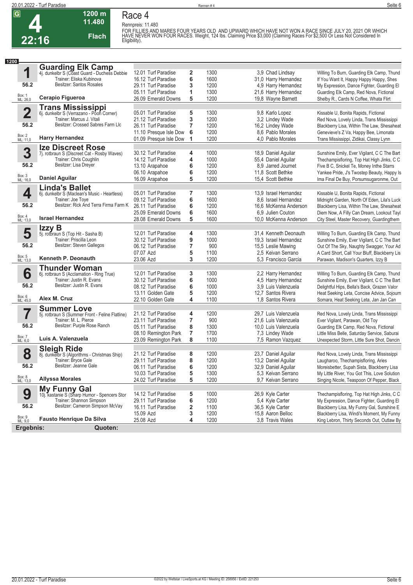

# **Race 4**

**1200 m 11.480** 

**Flach**

**Rennpreis: 11.480** FOR FILLIES AND MARES FOUR YEARS OLD AND UPWARD WHICH HAVE NOT WON A RACE SINCE JULY 20, 2021 OR WHICH<br>HAVE NEVER WON FOUR RACES. Weight, 124 lbs. Claiming Price \$3,000 (Claiming Races For \$2,500 Or Less Not Considered In

| 1200                    |                                                                          |                                        |        |      |                       |                                                                                          |
|-------------------------|--------------------------------------------------------------------------|----------------------------------------|--------|------|-----------------------|------------------------------------------------------------------------------------------|
|                         | <b>Guarding Elk Camp</b><br>4j. dunkelbr S (Coast Guard - Duchess Debbie |                                        |        |      |                       |                                                                                          |
| 1                       |                                                                          | 12.01 Turf Paradise                    | 2      | 1300 | 3,9 Chad Lindsay      | Willing To Burn, Guarding Elk Camp, Thund                                                |
|                         | Trainer: Eliska Kubinova                                                 | 16.12 Turf Paradise                    | 6      | 1600 | 31,0 Harry Hernandez  | If You Want It, Happy Happy Happy, Shes                                                  |
| 56.2                    | Besitzer: Santos Rosales                                                 | 29.11 Turf Paradise                    | 3      | 1200 | 4,9 Harry Hernandez   | My Expression, Dance Fighter, Guarding El                                                |
|                         |                                                                          | 05.11 Turf Paradise                    | 1      | 1300 | 21,6 Harry Hernandez  | Guarding Elk Camp, Red Nova, Fictional                                                   |
| Box: 1<br>ML: 26,0      | Cerapio Figueroa                                                         | 26.09 Emerald Downs                    | 5      | 1200 | 19,8 Wayne Barnett    | Shelby R., Cards N Coffee, Whata Flirt                                                   |
|                         | <b>Trans Mississippi</b>                                                 |                                        |        |      |                       |                                                                                          |
| $\overline{\mathbf{2}}$ | 6j. dunkelbr S (Verrazano - Poon Corner)                                 | 05.01 Turf Paradise                    | 5      | 1300 | 9,8 Karlo Lopez       | Kissable U, Bonita Rapids, Fictional                                                     |
|                         | Trainer: Marcus J. Vitali                                                | 21.12 Turf Paradise                    | 3      | 1200 | 3,2 Lindey Wade       | Red Nova, Lovely Linda, Trans Mississippi                                                |
| 56.2                    | Besitzer: Crossed Sabres Farm Llc                                        | 26.11 Turf Paradise                    | 7      | 1200 | 16,2 Lindey Wade      | Blackberry Lisa, Within The Law, Shesaheat                                               |
|                         |                                                                          | 11.10 Presque Isle Dow                 | 6      | 1200 | 8.6 Pablo Morales     | Genevieve's Z Va, Happy Bee, Limonata                                                    |
| Box: 2<br>ML: 11,0      | <b>Harry Hernandez</b>                                                   | 01.09 Presque Isle Dow                 | 1      | 1200 | 4.0 Pablo Morales     | Trans Mississippi, Zidikai, Classy Lynn                                                  |
|                         | <b>Ize Discreet Rose</b>                                                 |                                        |        |      |                       |                                                                                          |
| 3                       | 7j. rotbraun S (Discreet Cat - Rosby Waves)                              | 30.12 Turf Paradise                    | 4      | 1000 | 18,9 Daniel Aguilar   | Sunshine Emily, Ever Vigilant, C C The Bart                                              |
|                         | Trainer: Chris Coughlin                                                  | 14.12 Turf Paradise                    | 4      | 1000 | 55,4 Daniel Aguilar   | Thechampisfloring, Top Hat High Jinks, C C                                               |
| 56.2                    | Besitzer: Lisa Dreyer                                                    | 13.10 Arapahoe                         | 6      | 1200 | 8.9 Jarred Journet    | Five B C, Snickel Te, Money Inthe Starrs                                                 |
|                         |                                                                          | 06.10 Arapahoe                         | 6      | 1200 | 11.8 Scott Bethke     | Yankee Pride, J's Twostep Beauty, Happy Is                                               |
| Box: 3<br>ML: 16,0      | <b>Daniel Aguilar</b>                                                    | 16.09 Arapahoe                         | 5      | 1200 | 15,4 Scott Bethke     | Ima Final De Buy, Porsumsugaronme, Out                                                   |
|                         |                                                                          |                                        |        |      |                       |                                                                                          |
| 4                       | <b>Linda's Ballet</b>                                                    | 05.01 Turf Paradise                    | 7      | 1300 | 13,9 Israel Hernandez | Kissable U, Bonita Rapids, Fictional                                                     |
|                         | 6j. dunkelbr S (Maclean's Music - Heartless)<br>Trainer: Joe Toye        | 09.12 Turf Paradise                    | 6      | 1600 | 8,6 Israel Hernandez  | Midnight Garden, North Of Eden, Lila's Luck                                              |
| 56.2                    | Besitzer: Rick And Terra Firma Farm K                                    | 26.11 Turf Paradise                    | 6      | 1200 | 16.6 McKenna Anderson | Blackberry Lisa, Within The Law, Shesaheat                                               |
|                         |                                                                          | 25.09 Emerald Downs                    | 6      | 1600 | 6.9 Julien Couton     | Diem Now, A Filly Can Dream, Lookout Tayl                                                |
| Box: 4<br>ML: 13,0      | <b>Israel Hernandez</b>                                                  | 28.08 Emerald Downs                    | 5      | 1600 | 10.0 McKenna Anderson | City Steel, Master Recovery, Guardingthem                                                |
|                         |                                                                          |                                        |        |      |                       |                                                                                          |
|                         | Izzy B                                                                   | 12.01 Turf Paradise                    | 4      | 1300 | 31,4 Kenneth Deonauth |                                                                                          |
| 5                       | 5j. rotbraun S (Top Hit - Sasha B)<br>Trainer: Priscilla Leon            | 30.12 Turf Paradise                    | 9      | 1000 | 19.3 Israel Hernandez | Willing To Burn, Guarding Elk Camp, Thund<br>Sunshine Emily, Ever Vigilant, C C The Bart |
| 56.2                    | Besitzer: Steven Gallegos                                                | 06.12 Turf Paradise                    | 7      | 900  | 15,5 Leslie Mawing    | Out Of The Sky, Naughty Swagger, Your Ad                                                 |
|                         |                                                                          | 07.07 Azd                              | 5      | 1100 | 2.5 Keivan Serrano    | A Card Short, Call Your Bluff, Blackberry Lis                                            |
| Box: 5<br>ML: 13,0      | Kenneth P. Deonauth                                                      | 23.06 Azd                              | 3      | 1200 | 5.3 Francisco Garcia  | Parawan, Madison's Quarters, Izzy B                                                      |
|                         |                                                                          |                                        |        |      |                       |                                                                                          |
|                         | <b>Thunder Woman</b>                                                     | 12.01 Turf Paradise                    |        | 1300 | 2,2 Harry Hernandez   | Willing To Burn, Guarding Elk Camp, Thund                                                |
| 6                       | 6j. rotbraun S (Acclamation - Ring True)<br>Trainer: Justin R. Evans     | 30.12 Turf Paradise                    | 3<br>6 | 1000 | 4,5 Harry Hernandez   | Sunshine Emily, Ever Vigilant, C C The Bart                                              |
| 56.2                    | Besitzer: Justin R. Evans                                                | 08.12 Turf Paradise                    |        | 1000 | 3.9 Luis Valenzuela   |                                                                                          |
|                         |                                                                          |                                        | 6<br>5 | 1200 | 12,7 Santos Rivera    | Delightful Hips, Bella's Back, Grazen Valor                                              |
| Box: 6<br>ML: 45,0      | Alex M. Cruz                                                             | 13.11 Golden Gate<br>22.10 Golden Gate | 4      | 1100 | 1.8 Santos Rivera     | Heat Seeking Leta, Concise Advice, Sojourn                                               |
|                         |                                                                          |                                        |        |      |                       | Somara, Heat Seeking Leta, Jan Jan Can                                                   |
|                         | <b>Summer Love</b>                                                       |                                        |        |      |                       |                                                                                          |
|                         | 5j. rotbraun S (Summer Front - Feline Flatline)                          | 21.12 Turf Paradise                    | 4      | 1200 | 29,7 Luis Valenzuela  | Red Nova, Lovely Linda, Trans Mississippi                                                |
| 56.2                    | Trainer: M. L. Pierce<br>Besitzer: Purple Rose Ranch                     | 23.11 Turf Paradise                    | 7      | 900  | 21,6 Luis Valenzuela  | Ever Vigilant, Parawan, Old Toy                                                          |
|                         |                                                                          | 05.11 Turf Paradise                    | 8      | 1300 | 10.0 Luis Valenzuela  | Guarding Elk Camp, Red Nova, Fictional                                                   |
| Box: 7                  | Luis A. Valenzuela                                                       | 08.10 Remington Park                   | 7      | 1700 | 7,3 Lindey Wade       | Little Miss Belle, Saturday Service, Saburai                                             |
| ML: 6,0                 |                                                                          | 23.09 Remington Park                   | 8      | 1100 | 7,5 Ramon Vazquez     | Unexpected Storm, Little Sure Shot, Dancin                                               |
|                         | <b>Sleigh Ride</b>                                                       |                                        |        |      |                       |                                                                                          |
| 8                       | 8j. dunkelbr S (Algorithms - Christmas Ship)                             | 21.12 Turf Paradise                    | 8      | 1200 | 23,7 Daniel Aguilar   | Red Nova, Lovely Linda, Trans Mississippi                                                |
|                         | Trainer: Bryce Gale<br>Besitzer: Jeanne Gale                             | 29.11 Turf Paradise                    | 8      | 1200 | 13,2 Daniel Aguilar   | Laugharoo, Thechampisfloring, Aries                                                      |
| 56.2                    |                                                                          | 06.11 Turf Paradise                    | 6      | 1200 | 32,9 Daniel Aquilar   | Moreisbetter, Supah Sista, Blackberry Lisa                                               |
|                         |                                                                          | 10.03 Turf Paradise                    | 5      | 1300 | 5,3 Keivan Serrano    | My Little River, You Got This, Love Solution                                             |
| Box: 8<br>ML: 13,0      | <b>Allyssa Morales</b>                                                   | 24.02 Turf Paradise                    | 5      | 1200 | 9,7 Keivan Serrano    | Singing Nicole, Teaspoon Of Pepper, Black                                                |
|                         | <b>My Funny Gal</b>                                                      |                                        |        |      |                       |                                                                                          |
| 9                       | 10j. kastanie S (Sharp Humor - Spencers Stor                             | 14.12 Turf Paradise                    | 5      | 1000 | 26,9 Kyle Carter      | Thechampisfloring, Top Hat High Jinks, C C                                               |
|                         | Trainer: Shannon Simpson                                                 | 29.11 Turf Paradise                    | 6      | 1200 | 5.4 Kyle Carter       | My Expression, Dance Fighter, Guarding El                                                |
| 56.2                    | Besitzer: Cameron Simpson McVay                                          | 16.11 Turf Paradise                    | 2      | 1100 | 36,5 Kyle Carter      | Blackberry Lisa, My Funny Gal, Sunshine E                                                |
|                         |                                                                          | 15.09 Azd                              | 3      | 1200 | 15.8 Aaron Belloc     | Blackberry Lisa, Windi's Moment, My Funny                                                |
| Box: 9<br>ML: 9,0       | <b>Fausto Henrique Da Silva</b>                                          | 25.08 Azd                              | 4      | 1200 | 3.8 Travis Wales      | King Lebron, Thirty Seconds Out, Outlaw By                                               |
| Ergebnis:               | Quoten:                                                                  |                                        |        |      |                       |                                                                                          |
|                         |                                                                          |                                        |        |      |                       |                                                                                          |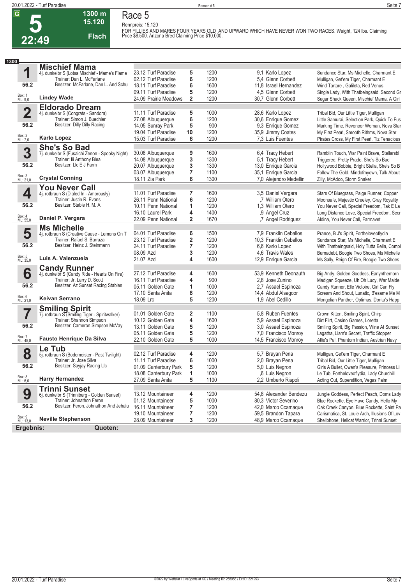

#### **1300 m 15.120 Flach Race 5**

**Rennpreis: 15.120 FOR FILLIES AND MARES FOUR YEARS OLD AND UPWARD WHICH HAVE NEVER WON TWO RACES. Weight, 124 lbs. Claiming Price \$8,500. Arizona Bred Claiming Price \$10,000.** 

| 1300               |                                                                             |                                          |                         |      |                        |                                                                                     |
|--------------------|-----------------------------------------------------------------------------|------------------------------------------|-------------------------|------|------------------------|-------------------------------------------------------------------------------------|
|                    | <b>Mischief Mama</b>                                                        |                                          |                         |      |                        |                                                                                     |
| 1                  | 4j. dunkelbr S (Lotsa Mischief - Mame's Flame                               | 23.12 Turf Paradise                      | 5                       | 1200 | 9.1 Karlo Lopez        | Sundance Star, Ms Michelle, Charmant E                                              |
|                    | Trainer: Dan L. McFarlane                                                   | 02.12 Turf Paradise                      | 6                       | 1200 | 5.4 Glenn Corbett      | Mulligan, Get'em Tiger, Charmant E                                                  |
| 56.2               | Besitzer: McFarlane, Dan L. And Schu                                        | 18.11 Turf Paradise                      | 6                       | 1600 | 11,8 Israel Hernandez  | Wind Tartare, Galileta, Red Venus                                                   |
|                    |                                                                             | 09.11 Turf Paradise                      | 5                       | 1200 | 4,5 Glenn Corbett      | Single Lady, With Thatbeingsaid, Second Gr                                          |
| Box: 1<br>ML: 9,0  | <b>Lindey Wade</b>                                                          | 24.09 Prairie Meadows                    | $\overline{\mathbf{2}}$ | 1200 | 30,7 Glenn Corbett     | Sugar Shack Queen, Mischief Mama, A Girl                                            |
|                    |                                                                             |                                          |                         |      |                        |                                                                                     |
| $\overline{2}$     | <b>Eldorado Dream</b>                                                       | 11.11 Turf Paradise                      | 5                       | 1000 | 28,6 Karlo Lopez       | Tribal Bid, Our Little Tiger, Mulligan                                              |
|                    | 4j. dunkelbr S (Congrats - Sandora)<br>Trainer: Simon J. Buechler           | 27.08 Albuquerque                        | 6                       | 1200 | 30,6 Enrique Gomez     | Little Samurai, Selection Park, Quick To Fus                                        |
| 56.2               | Besitzer: Dilly Dilly Racing                                                |                                          |                         | 900  | 9.3 Enrique Gomez      |                                                                                     |
|                    |                                                                             | 14.05 Sunray Park<br>19.04 Turf Paradise | 5                       | 1200 | 35,9 Jimmy Coates      | Marking Time, Revenoor Woman, Nova Star<br>My First Pearl, Smooth Rithms, Nova Star |
| Box: 2<br>ML: 7,0  | <b>Karlo Lopez</b>                                                          | 15.03 Turf Paradise                      | 10<br>6                 | 1200 |                        |                                                                                     |
|                    |                                                                             |                                          |                         |      | 7,3 Luis Fuentes       | Pirates Cross, My First Pearl, Tiz Tenacious                                        |
|                    | <b>She's So Bad</b>                                                         |                                          |                         |      |                        |                                                                                     |
| 3                  | 7j. dunkelbr S (Fusaichi Zenon - Spooky Night)                              | 30.08 Albuquerque                        | 9                       | 1600 | 6.4 Tracy Hebert       | Ramblin Touch, War Paint Brave, Stellarsbl                                          |
|                    | Trainer: lii Anthony Blea                                                   | 14.08 Albuquerque                        | 3                       | 1300 | 5,1 Tracy Hebert       | Triggered, Pretty Prado, She's So Bad                                               |
| 56.2               | Besitzer: LIc E J Farm                                                      | 20.07 Albuquerque                        | 3                       | 1300 | 13,0 Enrique Garcia    | Hollywood Bobbie, Bright Stella, She's So B                                         |
|                    |                                                                             | 03.07 Albuquerque                        | $\overline{7}$          | 1100 | 35,1 Enrique Garcia    | Follow The Gold, Mindofmyown, Talk About                                            |
| Box: 3<br>ML: 21,0 | <b>Crystal Conning</b>                                                      | 18.11 Zia Park                           | 6                       | 1300 | 7,0 Alejandro Medellin | Zilly, McAdoo, Storm Shaker                                                         |
|                    | <b>You Never Call</b>                                                       |                                          |                         |      |                        |                                                                                     |
| 4                  | 4j. rotbraun S (Dialed In - Amorously)                                      | 11.01 Turf Paradise                      | 7                       | 1600 | 3,5 Daniel Vergara     | Stars Of Bluegrass, Paige Runner, Copper                                            |
|                    | Trainer: Justin R. Evans                                                    | 26.11 Penn National                      | 6                       | 1200 | .7 William Otero       | Moonsafe, Majestic Greeley, Gray Royality                                           |
| 56.2               | Besitzer: Stable H. M. A.                                                   | 10.11 Penn National                      | 1                       | 1200 | 1,3 William Otero      | You Never Call, Special Freedom, Tak E La                                           |
|                    |                                                                             | 16.10 Laurel Park                        | 4                       | 1400 | ,9 Angel Cruz          | Long Distance Love, Special Freedom, Secr                                           |
| Box: 4<br>ML: 55,0 | Daniel P. Vergara                                                           | 22.09 Penn National                      | $\overline{2}$          | 1670 | ,7 Angel Rodriguez     | Aldina, You Never Call, Farmavet                                                    |
|                    | <b>Ms Michelle</b>                                                          |                                          |                         |      |                        |                                                                                     |
| 5                  | 4j. rotbraun S (Creative Cause - Lemons On T                                | 04.01 Turf Paradise                      | 6                       | 1500 | 7.9 Franklin Ceballos  | Prance, B J's Spirit, Fortheloveoflydia                                             |
|                    | Trainer: Rafael S. Barraza                                                  | 23.12 Turf Paradise                      | $\overline{\mathbf{2}}$ | 1200 | 10.3 Franklin Ceballos | Sundance Star, Ms Michelle, Charmant E                                              |
| 56.2               | Besitzer: Heinz J. Steinmann                                                | 24.11 Turf Paradise                      | 7                       | 1200 | 6,6 Karlo Lopez        | With Thatbeingsaid, Holy Tutta Bella, Compl                                         |
|                    |                                                                             | 08.09 Azd                                | 3                       | 1200 | 4,6 Travis Wales       | Burnadebt, Boogie Two Shoes, Ms Michelle                                            |
| Box: 5<br>ML: 35,0 | Luis A. Valenzuela                                                          | 21.07 Azd                                | 4                       | 1600 | 12,9 Enrique Garcia    | Ms Sally, Reign Of Fire, Boogie Two Shoes                                           |
|                    |                                                                             |                                          |                         |      |                        |                                                                                     |
|                    | <b>Candy Runner</b>                                                         | 27.12 Turf Paradise                      |                         |      | 53,9 Kenneth Deonauth  |                                                                                     |
| 6                  | 4j. dunkelbr S (Candy Ride - Hearts On Fire)<br>Trainer: Jr. Larry D. Scott |                                          | 4                       | 1600 |                        | Big Andy, Golden Goddess, Earlynthemorn                                             |
| 56.2               | Besitzer: Az Sunset Racing Stables                                          | 16.11 Turf Paradise                      | 4                       | 900  | 2.8 Jose Zunino        | Madigan Squeeze, Uh Oh Lucy, War Maide                                              |
|                    |                                                                             | 05.11 Golden Gate                        | 1                       | 1000 | 2,7 Assael Espinoza    | Candy Runner, Elle Victoire, Girl Can Fly                                           |
|                    | Keivan Serrano                                                              | 17.10 Santa Anita                        | 8                       | 1200 | 14,4 Abdul Alsagoor    | Scream And Shout, Lunatic, B'esame Me M                                             |
| Box: 6<br>ML: 21,0 |                                                                             | 18.09 Lrc                                | 5                       | 1200 | 1,9 Abel Cedillo       | Mongolian Panther, Optimas, Dorita's Happ                                           |
|                    | <b>Smiling Spirit</b>                                                       |                                          |                         |      |                        |                                                                                     |
|                    | 7j. rotbraun S (Smiling Tiger - Spiritwalker)                               | 01.01 Golden Gate                        | 2                       | 1100 | 5.8 Ruben Fuentes      | Crown Kitten, Smiling Spirit, Chirp                                                 |
|                    | Trainer: Shannon Simpson                                                    | 10.12 Golden Gate                        | 4                       | 1600 | 5,9 Assael Espinoza    | Dirt Flirt, Casino Games, Loretta                                                   |
| 56.2               | Besitzer: Cameron Simpson McVay                                             | 13.11 Golden Gate                        | 5                       | 1200 | 3,0 Assael Espinoza    | Smiling Spirit, Big Passion, Wine At Sunset                                         |
|                    |                                                                             | 05.11 Golden Gate                        | 5                       | 1200 | 7.0 Francisco Monrov   | Lagatha, Liam's Secret, Traffic Stopper                                             |
| Box: 7<br>ML: 45,0 | <b>Fausto Henrique Da Silva</b>                                             | 22.10 Golden Gate                        | 5                       | 1000 | 14,5 Francisco Monroy  | Allie's Pal, Phantom Indian, Austrian Navy                                          |
|                    | Le Tub                                                                      |                                          |                         |      |                        |                                                                                     |
| 8                  | 5j. rotbraun S (Bodemeister - Past Twilight)                                | 02.12 Turf Paradise                      | 4                       | 1200 | 5,7 Brayan Pena        | Mulligan, Get'em Tiger, Charmant E                                                  |
|                    | Trainer: Jr. Jose Silva                                                     | 11.11 Turf Paradise                      | 6                       | 1000 | 2,0 Brayan Pena        | Tribal Bid, Our Little Tiger, Mulligan                                              |
| 56.2               | Besitzer: Sayjay Racing Llc                                                 | 01.09 Canterbury Park                    | 5                       | 1200 | 5,0 Luis Negron        | Girls A Bullet, Owen's Pleasure, Princess Li                                        |
|                    |                                                                             | 18.08 Canterbury Park                    | 1                       | 1000 | ,6 Luis Negron         | Le Tub, Fortheloveoflydia, Lady Churchill                                           |
| Box: 8<br>ML: 6,0  | <b>Harry Hernandez</b>                                                      | 27.09 Santa Anita                        | 5                       | 1100 | 2,2 Umberto Rispoli    | Acting Out, Superstition, Vegas Palm                                                |
|                    | <b>Trinni Sunset</b>                                                        |                                          |                         |      |                        |                                                                                     |
| 9                  | 6j. dunkelbr S (Trinniberg - Golden Sunset)                                 | 13.12 Mountaineer                        | 4                       | 1200 | 54,8 Alexander Bendezu | Jungle Goddess, Perfect Peach, Doms Lady                                            |
|                    | Trainer: Johnathon Feron                                                    | 01.12 Mountaineer                        | 5                       | 1000 | 80,3 Victor Severino   | Blue Rockette, Eye Have Candy, Hello My                                             |
| 56.2               | Besitzer: Feron, Johnathon And Jehalu                                       | 16.11 Mountaineer                        | 7                       | 1200 | 42,0 Marco Ccamaque    | Oak Creek Canyon, Blue Rockette, Saint Pa                                           |
|                    |                                                                             | 19.10 Mountaineer                        | 7                       | 1200 | 59,5 Brandon Tapara    | Carismatica, St. Louie Arch, Illusions Of Lov                                       |
| Box: 9<br>ML: 13,0 | <b>Neville Stephenson</b>                                                   | 28.09 Mountaineer                        | 3                       | 1200 | 48,9 Marco Ccamaque    | Shellphone, Hellcat Warrior, Trinni Sunset                                          |
| Ergebnis:          | Quoten:                                                                     |                                          |                         |      |                        |                                                                                     |
|                    |                                                                             |                                          |                         |      |                        |                                                                                     |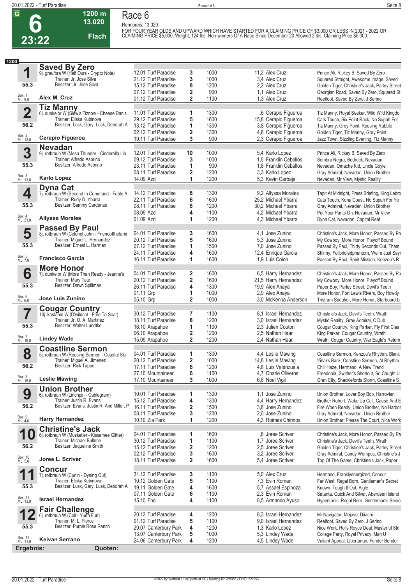**Race 6 Rennpreis: 13.020**



# **13.020 Flach**

**1200 m**

FOR FOUR YEAR OLDS AND UPWARD WHICH HAVE STARTED FOR A CLAIMING PRICE OF \$3,000 OR LESS IN 2021 - 2022 OR<br>CLAIMING PRICE \$5,000. Weight, 124 lbs. Non-winners Of A Race Since December 20 Allowed 2 lbs. Claiming Price \$5,000

| 1200                    |                                                                         |                       |                         |      |                       |                                               |
|-------------------------|-------------------------------------------------------------------------|-----------------------|-------------------------|------|-----------------------|-----------------------------------------------|
|                         | <b>Saved By Zero</b>                                                    |                       |                         |      |                       |                                               |
| 1                       | 9j. grau/bra W (Half Ours - Crypto Note)                                | 12.01 Turf Paradise   | 3                       | 1000 | 11,2 Alex Cruz        | Prince Ali, Rickey B, Saved By Zero           |
|                         | Trainer: Jr. Jose Silva                                                 | 21.12 Turf Paradise   | 3                       | 1000 | 3.4 Alex Cruz         | Squared Straight, Awesome Image, Saved        |
| 55.3                    | Besitzer: Jr. Jose Silva                                                | 15.12 Turf Paradise   | 8                       | 1200 | 2.2 Alex Cruz         | Golden Tiger, Christine's Jack, Parley Street |
|                         |                                                                         | 07.12 Turf Paradise   | 2                       | 900  | 1.1 Alex Cruz         | Georgian Road, Saved By Zero, Squared St      |
| Box: 1<br>ML: 9,0       | Alex M. Cruz                                                            | 01.12 Turf Paradise   | $\overline{2}$          | 1100 | 1,3 Alex Cruz         | Reelfoot, Saved By Zero, J Serino             |
|                         | <b>Tiz Manny</b>                                                        |                       |                         |      |                       |                                               |
| $\overline{\mathbf{2}}$ | 6j. dunkelbr W (Slew's Tiznow - Cheese Danis                            | 11.01 Turf Paradise   | 1                       | 1300 | ,6 Cerapio Figueroa   | Tiz Manny, Royal Seeker, Wild Wild Kingdo     |
|                         | Trainer: Eliska Kubinova                                                | 29.12 Turf Paradise   | 5                       | 1600 | 15,8 Cerapio Figueroa | Cats Touch, Six Point Rack, No Supah For      |
| 56.2                    | Besitzer: Lusk, Gary, Lusk, Deborah A                                   | 13.12 Turf Paradise   | 1                       | 1300 | 3,8 Cerapio Figueroa  | Tiz Manny, Grey Point, Rousing Rubble         |
|                         |                                                                         | 02.12 Turf Paradise   | $\overline{\mathbf{2}}$ | 1300 | 4,6 Cerapio Figueroa  | Golden Tiger, Tiz Manny, Grey Point           |
| Box: 2<br>ML: 13,0      | Cerapio Figueroa                                                        | 19.11 Turf Paradise   | 3                       | 900  | 2,3 Cerapio Figueroa  | Jazz Town, Sizzling Evening, Tiz Manny        |
|                         | <b>Nevadan</b>                                                          |                       |                         |      |                       |                                               |
| 3                       | 9j. rotbraun W (Mesa Thunder - Cinderella Lib                           | 12.01 Turf Paradise   | 10                      | 1000 | 5.4 Karlo Lopez       | Prince Ali, Rickey B, Saved By Zero           |
|                         | Trainer: Alfredo Asprino                                                | 09.12 Turf Paradise   | 3                       | 1000 | 1.5 Franklin Ceballos | Sombra Negra, Bedrock, Nevadan                |
| 55.3                    | Besitzer: Alfredo Asprino                                               | 23.11 Turf Paradise   | 1                       | 900  | 1.8 Franklin Ceballos | Nevadan, Omache Kid, Uncle Goyle              |
|                         |                                                                         | 08.11 Turf Paradise   | $\overline{\mathbf{2}}$ | 1200 | 3,3 Karlo Lopez       | Gray Admiral, Nevadan, Union Brother          |
| Box: 3<br>ML: 13,0      | <b>Karlo Lopez</b>                                                      | 14.09 Azd             | 1                       | 1200 | 5,3 Kevin Carbajal    | Nevadan, Mr View, Mystic Reality              |
|                         | Dyna Cat                                                                |                       |                         |      |                       |                                               |
| 4                       | 7j. rotbraun W (Second In Command - Fable A                             | 14.12 Turf Paradise   | 8                       | 1300 | 9.2 Allyssa Morales   | Tapit At Midnight, Press Briefing, King Lebro |
|                         | Trainer: Rudy D. Ybarra                                                 | 22.11 Turf Paradise   | 6                       | 1600 | 25,2 Michael Ybarra   | Cats Touch, Kona Coast, No Supah For Yo       |
| 55.3                    | Besitzer: Sammy Cardenas                                                | 08.11 Turf Paradise   | 8                       | 1200 | 30,2 Michael Ybarra   | Gray Admiral, Nevadan, Union Brother          |
|                         |                                                                         | 08.09 Azd             | 4                       | 1100 | 4,2 Michael Ybarra    | Put Your Pants On, Nevadan, Mr View           |
| Box: 4<br>ML: 21,0      | <b>Allyssa Morales</b>                                                  | 01.09 Azd             | 1                       | 1200 | 4.3 Michael Ybarra    | Dyna Cat, Nevadan, Capital Reef               |
|                         |                                                                         |                       |                         |      |                       |                                               |
| 5                       | <b>Passed By Paul</b><br>8j. rotbraun W (Colonel John - Friendofthefami | 04.01 Turf Paradise   | 3                       | 1600 | 4.1 Jose Zunino       | Christine's Jack, More Honor, Passed By Pa    |
|                         | Trainer: Miguel L. Hernandez                                            | 20.12 Turf Paradise   | 5                       | 1600 | 5.3 Jose Zunino       | My Cowboy, More Honor, Playoff Bound          |
| 55.3                    | Besitzer: Ernest L. Harman                                              | 07.12 Turf Paradise   | 1                       | 1500 | 7.0 Jose Zunino       | Passed By Paul, Thirty Seconds Out, Them      |
|                         |                                                                         | 24.11 Turf Paradise   | 4                       | 1600 | 12,4 Enrique Garcia   | Shinny, Fullbridledphantom, We're Just Sayi   |
| Box: 5<br>ML: 7,0       | <b>Francisco Garcia</b>                                                 | 16.11 Turf Paradise   | 1                       | 1600 | 1,9 Luis Colon        | Passed By Paul, Spirit Mission, Kenzou's R    |
|                         |                                                                         |                       |                         |      |                       |                                               |
|                         | <b>More Honor</b>                                                       |                       |                         |      |                       |                                               |
| 6                       | 7j. dunkelbr W (More Than Ready - Jeanne's                              | 04.01 Turf Paradise   | 2                       | 1600 | 6,5 Harry Hernandez   | Christine's Jack, More Honor, Passed By Pa    |
| 55.3                    | Trainer: Mary Tate<br>Besitzer: Dawn Spillman                           | 20.12 Turf Paradise   | $\overline{\mathbf{2}}$ | 1600 | 21,5 Harry Hernandez  | My Cowboy, More Honor, Playoff Bound          |
|                         |                                                                         | 26.11 Turf Paradise   | 4                       | 1300 | 19,9 Alex Anaya       | Paper Boy, Parley Street, Devil's Teeth       |
| Box: 6<br>ML: 6,0       | Jose Luis Zunino                                                        | 01.11 Grp             | 1                       | 1000 | 2,9 Alex Anaya        | More Honor, Fort Lewis Rivers, Boy Howdy      |
|                         |                                                                         | 05.10 Grp             | $\overline{\mathbf{2}}$ | 1000 | 3.0 McKenna Anderson  | Tristram Speaker, More Honor, Starboard Li    |
|                         | <b>Cougar Country</b><br>10j. kastanie W (D'wildcat - Frée To Soar)     |                       |                         |      |                       |                                               |
|                         |                                                                         | 30.12 Turf Paradise   | 7                       | 1100 | 8.1 Israel Hernandez  | Christine's Jack, Devil's Teeth, Wrath        |
| 55.3                    | Trainer: Jr. O. A. Martinez<br>Besitzer: Walter Luedtke                 | 18.11 Turf Paradise   | 8                       | 1200 | 3.0 Israel Hernandez  | Mystic Reality, Gray Admiral, C Dub           |
|                         |                                                                         | 16.10 Arapahoe        | 1                       | 1100 | 2.3 Julien Couton     | Cougar Country, King Parker, Fly First Clas   |
| Box: 7<br>ML: 16,0      | <b>Lindey Wade</b>                                                      | 06.10 Arapahoe        | 2<br>$\overline{2}$     | 1200 | 2.5 Nathan Haar       | King Parker, Cougar Country, Wrath            |
|                         |                                                                         | 15.09 Arapahoe        |                         | 1200 | 2,4 Nathan Haar       | Wrath, Cougar Country, War Eagle's Return     |
|                         | <b>Coastline Sermon</b>                                                 |                       |                         |      |                       |                                               |
| 8                       | 5j. rotbraun W (Rousing Sermon - Coastal Ski                            | 04.01 Turf Paradise   | 1                       | 1300 | 4,4 Leslie Mawing     | Coastline Sermon, Kenzou's Rhythm, Blank      |
| 56.2                    | Trainer: Miguel A. Jimenez<br>Besitzer: Rick Tappe                      | 20.12 Turf Paradise   | $\overline{\mathbf{2}}$ | 1000 | 14,8 Leslie Mawing    | Vidaks Back, Coastline Sermon, Al Rhythm      |
|                         |                                                                         | 17.11 Turf Paradise   | 6                       | 1200 | 4,8 Luis Valenzuela   | Chill Haze, Hermano, A New Trend              |
|                         |                                                                         | 27.10 Mountaineer     | 6                       | 1100 | 4.7 Charle Oliveros   | Freedonia, Swither's Shortcut, So Caught U    |
| Box: 8<br>ML: 16,0      | <b>Leslie Mawing</b>                                                    | 17.10 Mountaineer     | 3                       | 1000 | 6,8 Noel Vigil        | Gran City, Shacklefords Storm, Coastline S    |
|                         | <b>Union Brother</b>                                                    |                       |                         |      |                       |                                               |
| 9                       | 6j. rotbraun W (Linchpin - Cablegram)                                   | 10.01 Turf Paradise   | 1                       | 1300 | 1.1 Jose Zunino       | Union Brother, Lover Boy Bob, Harrovian       |
|                         | Trainer: Justin R. Evans                                                | 15.12 Turf Paradise   | 4                       | 1300 | 4,4 Harry Hernandez   | Brother Robert, Wake Up Call, Cause And E     |
| 56.2                    | Besitzer: Evans, Justin R. And Miller, P.                               | 16.11 Turf Paradise   | 2                       | 1500 | 3.6 Jose Zunino       | Fire When Ready, Union Brother, No Harbor     |
|                         |                                                                         | 08.11 Turf Paradise   | 3                       | 1200 | 2.0 Jose Zunino       | Gray Admiral, Nevadan, Union Brother          |
| Box: 9<br>ML: 4,0       | <b>Harry Hernandez</b>                                                  | 10.10 Zia Park        | 1                       | 1200 | 4.3 Roimes Chirinos   | Union Brother, Please The Court, Nice Work    |
|                         | <b>Christine's Jack</b>                                                 |                       |                         |      |                       |                                               |
| 1                       | 6j. rotbraun W (Musketier - Kissamee Glitter)                           | 04.01 Turf Paradise   | 1                       | 1600 | .8 Joree Scriver      | Christine's Jack, More Honor, Passed By Pa    |
|                         | Trainer: Michael Bullene                                                | 30.12 Turf Paradise   | 1                       | 1100 | 1,7 Joree Scriver     | Christine's Jack, Devil's Teeth, Wrath        |
| 56.2                    | Besitzer: Jaqueline Smith                                               | 15.12 Turf Paradise   | 2                       | 1200 | 2,5 Joree Scriver     | Golden Tiger, Christine's Jack, Parley Street |
|                         |                                                                         | 02.12 Turf Paradise   | 3                       | 1600 | 3.2 Joree Scriver     | Gray Admiral, Candy Wompus, Christine's J     |
| Box: 10<br>ML: 5,0      | Joree L. Scriver                                                        | 18.11 Turf Paradise   | $\overline{\mathbf{2}}$ | 1600 | 5,4 Joree Scriver     | Top Of The Game, Christine's Jack, Paper      |
|                         | <b>Concur</b>                                                           |                       |                         |      |                       |                                               |
| 1                       | 7j. rotbraun W (Curlin - Dyning Out)                                    | 31.12 Turf Paradise   | 3                       | 1100 | 5.0 Alex Cruz         | Hermano, Franklyenergized, Concur             |
|                         | Trainer: Eliska Kubinova                                                | 10.12 Golden Gate     | 5                       | 1100 | 7,3 Evin Roman        | Far West, Regal Born, Gentleman's Secret      |
| 55.3                    | Besitzer: Lusk, Gary, Lusk, Deborah A                                   | 19.11 Golden Gate     | 4                       | 1600 | 5,7 Assael Espinoza   | Known, Tough It Out, Aigle                    |
|                         |                                                                         | 07.11 Golden Gate     | 6                       | 1100 | 2.3 Evin Roman        | Satanta, Quick And Silver, Aberdeen Island    |
| Box: 11<br>ML: 13,0     | <b>Israel Hernandez</b>                                                 | 15.10 Fno             | 4                       | 1100 | 8,5 Armando Ayuso     | Hypersonic, Regal Born, Gentleman's Secre     |
|                         |                                                                         |                       |                         |      |                       |                                               |
| $\blacktriangleright$   | <b>Fair Challenge</b><br>6j. rotbraun W (Coil - Yuen Fun)               | 20.12 Turf Paradise   | 4                       | 1200 | 8.3 Israel Hernandez  | Mr Navigator, Mojave, Diiachi                 |
|                         | Trainer: M. L. Pierce                                                   | 01.12 Turf Paradise   | 5                       | 1100 | 9.0 Israel Hernandez  | Reelfoot, Saved By Zero, J Serino             |
| 55.3                    | Besitzer: Purple Rose Ranch                                             | 29.07 Canterbury Park | 4                       | 1200 | 1,3 Karlo Lopez       | Nice Work, Rolls Royce Deal, Masterful Stri   |
|                         |                                                                         | 13.07 Canterbury Park | 5                       | 1000 | 5,3 Lindey Wade       | College Party, Royal Privacy, Man U           |
| Box: 12<br>ML: 11,0     | <b>Keivan Serrano</b>                                                   | 24.06 Canterbury Park | 4                       | 1200 | 4,5 Lindey Wade       | Valiant Appeal, Libertarian, Fender Bender    |
| Ergebnis:               | Quoten:                                                                 |                       |                         |      |                       |                                               |
|                         |                                                                         |                       |                         |      |                       |                                               |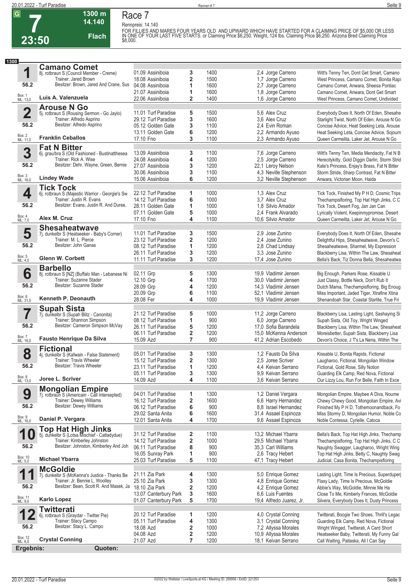**7**

**23:50**



**Race 7 Rennpreis: 14.140**

**Flach**

**1300 m 14.140** 

FOR FILLIES AND MARES FOUR YEARS OLD AND UPWARD WHICH HAVE STARTED FOR A CLAIMING PRICE OF \$5,000 OR LESS<br>IN ONE OF YOUR LAST FIVE STARTS. or Claiming Price \$6,250. Weight, 124 lbs. Claiming Price \$6,250. Arizona Bred Cla

| 1300               |                                                                           |                                            |                         |              |                                              |                                                                                          |
|--------------------|---------------------------------------------------------------------------|--------------------------------------------|-------------------------|--------------|----------------------------------------------|------------------------------------------------------------------------------------------|
|                    | <b>Camano Comet</b>                                                       |                                            |                         |              |                                              |                                                                                          |
| 1                  | 8j. rotbraun S (Council Member - Creme)                                   | 01.09 Assiniboia                           | 3                       | 1400         | 2,4 Jorge Carreno                            | Witt's Tenny Ten, Dont Get Smart, Camano                                                 |
|                    | Trainer: Jared Brown                                                      | 18.08 Assiniboia                           | 2                       | 1500         | 1,7 Jorge Carreno                            | West Princess, Camano Comet, Bonita Rapi                                                 |
| 56.2               | Besitzer: Brown, Jared And Crane, Sus                                     | 04.08 Assiniboia                           | 1                       | 1600         | 2,7 Jorge Carreno                            | Camano Comet, Anwara, Sheesa Pontiac                                                     |
|                    |                                                                           | 21.07 Assiniboia                           | 1                       | 1600         | 1,8 Jorge Carreno                            | Camano Comet, Anwara, Dont Get Smart                                                     |
| Box: 1<br>ML: 13,0 | Luis A. Valenzuela                                                        | 22.06 Assiniboia                           | $\overline{\mathbf{2}}$ | 1400         | 1,6 Jorge Carreno                            | West Princess, Camano Comet, Undivided                                                   |
|                    | <b>Arouse N Go</b>                                                        |                                            |                         |              |                                              |                                                                                          |
| $\overline{2}$     | 5j. rotbraun S (Rousing Sermon - Go Jaylo)                                | 11.01 Turf Paradise                        | 5                       | 1500         | 5.6 Alex Cruz                                | Everybody Does It, North Of Eden, Shesahe                                                |
|                    | Trainer: Alfredo Asprino                                                  | 29.12 Turf Paradise                        | 3                       | 1600         | 3.6 Alex Cruz                                | Starlight Twist, North Of Eden, Arouse N Go                                              |
| 56.2               | Besitzer: Alfredo Asprino                                                 | 05.12 Golden Gate                          | 3                       | 1100         | 2,4 Evin Roman                               | Concise Advice, Heat Seeking Leta, Arouse                                                |
|                    |                                                                           | 13.11 Golden Gate                          | 6                       | 1200         | 2,2 Armando Ayuso                            | Heat Seeking Leta, Concise Advice, Sojourn                                               |
| Box: 2<br>ML: 11,0 | <b>Franklin Ceballos</b>                                                  | 17.10 Fno                                  | 3                       | 1100         | 2,3 Armando Ayuso                            | Queen Carmelita, Laker Jet, Arouse N Go                                                  |
|                    | <b>Fat N Bitter</b>                                                       |                                            |                         |              |                                              |                                                                                          |
| 3                  | 6j. grau/bra S (Old Fashioned - Bustinatthesea                            | 13.09 Assiniboja                           | 3                       | 1100         | 7,6 Jorge Carreno                            | Witt's Tenny Ten, Media Mendacity, Fat N B                                               |
|                    | Trainer: Rick A. Wise                                                     | 24.08 Assiniboja                           | 4                       | 1200         | 2,5 Jorge Carreno                            | Herecitykitty, Gold Diggin Darlin, Storm Strid                                           |
| 56.2               | Besitzer: Dehr, Wayne, Green, Bernie                                      | 27.07 Assiniboia                           | 3                       | 1200         | 22,1 Leroy Nelson                            | Kate's Princess, Enjay's Brass, Fat N Bitter                                             |
| Box: 3<br>ML: 16,0 |                                                                           | 30.06 Assiniboia                           | 3                       | 1100         | 4,3 Neville Stephenson                       | Storm Stride, Sharp Contrast, Fat N Bitter                                               |
|                    | <b>Lindey Wade</b>                                                        | 15.06 Assiniboia                           | 6                       | 1200         | 3,2 Neville Stephenson                       | Anwara, Victorian Moon, Haida                                                            |
|                    | <b>Tick Tock</b>                                                          |                                            |                         |              |                                              |                                                                                          |
| 4                  | 6j. rotbraun S (Majestic Warrior - Georgie's Sw                           | 22.12 Turf Paradise                        | 1                       | 1000         | 1.3 Alex Cruz                                | Tick Tock, Finished My P H D, Cosmic Trips                                               |
|                    | Trainer: Justin R. Evans                                                  | 14.12 Turf Paradise                        | 6                       | 1000         | 3.7 Alex Cruz                                | Thechampisfloring, Top Hat High Jinks, C C                                               |
| 56.2               | Besitzer: Evans, Justin R. And Duree,                                     | 28.11 Golden Gate                          | 1                       | 1000         | 1.8 Silvio Amador                            | Tick Tock, Desert Fog, Jan Jan Can                                                       |
| Box: 4<br>ML: 7,0  | Alex M. Cruz                                                              | 07.11 Golden Gate                          | 5                       | 1000         | 2.4 Frank Alvarado                           | Lyrically Violent, Keepinmypromise, Desert                                               |
|                    |                                                                           | 17.10 Fno                                  | 4                       | 1100         | 10,6 Silvio Amador                           | Queen Carmelita, Laker Jet, Arouse N Go                                                  |
|                    | <b>Shesaheatwave</b>                                                      |                                            |                         |              |                                              |                                                                                          |
| 5                  | 7j. dunkelbr S (Heatseeker - Baby's Corner)                               | 11.01 Turf Paradise                        | 3                       | 1500         | 2.9 Jose Zunino                              | Everybody Does It, North Of Eden, Shesahe                                                |
| 56.2               | Trainer: M. L. Pierce<br>Besitzer: John Ganas                             | 23.12 Turf Paradise                        | $\overline{\mathbf{2}}$ | 1200         | 2.4 Jose Zunino                              | Delightful Hips, Shesaheatwave, Devon's C                                                |
|                    |                                                                           | 08.12 Turf Paradise                        | 1                       | 1200         | 2,8 Chad Lindsay                             | Shesaheatwave, Sharmel, My Expression                                                    |
| Box: 5<br>ML: 4,0  | <b>Glenn W. Corbett</b>                                                   | 26.11 Turf Paradise<br>11.11 Turf Paradise | 3<br>3                  | 1200<br>1200 | 3.3 Jose Zunino<br>17,4 Jose Zunino          | Blackberry Lisa, Within The Law, Shesaheat<br>Bella's Back, Tiz Donna Bella, Shesaheatwa |
|                    |                                                                           |                                            |                         |              |                                              |                                                                                          |
|                    | <b>Barbello</b>                                                           |                                            |                         |              |                                              |                                                                                          |
| 6                  | 8j. rotbraun S [NZ] (Buffalo Man - Lebanese Ni<br>Trainer: Suzanne Stader | 02.11 Grp<br>12.10 Grp                     | 5<br>4                  | 1300<br>1700 | 19,9 Vladimir Jensen                         | Big Enough, Parkers Rose, Kissable U                                                     |
| 56.2               | Besitzer: Suzanne Stader                                                  | 28.09 Grp                                  | 4                       | 1200         | 30,0 Vladimir Jensen<br>14,3 Vladimir Jensen | Just Classy, Bottle Neck, Don't Rub It<br>Dutch Mama, Thechampisfloring, Big Enoug       |
|                    |                                                                           | 20.09 Grp                                  | 6                       | 1100         | 52,1 Vladimir Jensen                         | Miss Important, Jaded Tiger, Xtrafine Xtina                                              |
| Box: 6<br>ML: 31,0 | Kenneth P. Deonauth                                                       | 28.08 Fer                                  | 4                       | 1000         | 19,9 Vladimir Jensen                         | Shenandoah Star, Coastal Starlite, True Fri                                              |
|                    |                                                                           |                                            |                         |              |                                              |                                                                                          |
|                    | <b>Supah Sista</b><br>7j. dunkelbr S (Supah Blitz - Canonita)             | 21.12 Turf Paradise                        | 5                       | 1000         | 11,2 Jorge Carreno                           | Blackberry Lisa, Lasting Light, Sashaying Si                                             |
|                    | Trainer: Shannon Simpson                                                  | 08.12 Turf Paradise                        | 1                       | 900          | 6,0 Jorge Carreno                            | Supah Sista, Old Toy, Wright Winged                                                      |
| 56.2               | Besitzer: Cameron Simpson McVay                                           | 26.11 Turf Paradise                        | 5                       | 1200         | 17,0 Sofia Barandela                         | Blackberry Lisa, Within The Law, Shesaheat                                               |
|                    |                                                                           | 06.11 Turf Paradise                        | $\overline{\mathbf{2}}$ | 1200         | 15,0 McKenna Anderson                        | Moreisbetter, Supah Sista, Blackberry Lisa                                               |
| Box: 7<br>ML: 16,0 | <b>Fausto Henrique Da Silva</b>                                           | 15.09 Azd                                  | $\overline{7}$          | 900          | 41,2 Adrian Escobedo                         | Devon's Choice, J T's La Nena, Within The                                                |
|                    | <b>Fictional</b>                                                          |                                            |                         |              |                                              |                                                                                          |
| 8                  | 4j. dunkelbr S (Kafwain - False Statement)                                | 05.01 Turf Paradise                        | 3                       | 1300         | 1,2 Fausto Da Silva                          | Kissable U, Bonita Rapids, Fictional                                                     |
|                    | <b>Trainer: Travis Wheeler</b>                                            | 15.12 Turf Paradise                        | $\overline{\mathbf{2}}$ | 1300         | 2.5 Joree Scriver                            | Laugharoo, Fictional, Mongolian Window                                                   |
| 56.2               | Besitzer: Travis Wheeler                                                  | 23.11 Turf Paradise                        | 1                       | 1200         | 4,4 Keivan Serrano                           | Fictional, Gold Rose, Silly Notion                                                       |
|                    |                                                                           | 05.11 Turf Paradise                        | 3                       | 1300         | 9,9 Keivan Serrano                           | Guarding Elk Camp, Red Nova, Fictional                                                   |
| Box: 8<br>ML: 13,0 | Joree L. Scriver                                                          | 14.09 Azd                                  | 4                       | 1100         | 3.6 Keivan Serrano                           | Our Lizzy Lou, Run For Belle, Faith In Exce                                              |
|                    | <b>Mongolian Empire</b>                                                   |                                            |                         |              |                                              |                                                                                          |
| 9                  | 7j. rotbraun S (Americain - Call Intersepted)                             | 04.01 Turf Paradise                        | 1                       | 1300         | 1,2 Daniel Vergara                           | Mongolian Empire, Maybee A Diva, Noume                                                   |
|                    | Trainer: Dewey Williams                                                   | 16.12 Turf Paradise                        | $\mathbf 2$             | 1600         | 6,6 Harry Hernandez                          | Chewy Chewy Good, Mongolian Empire, Avi                                                  |
| 56.2               | Besitzer: Dewey Williams                                                  | 06.12 Turf Paradise                        | 6                       | 900          | 8,8 Israel Hernandez                         | Finished My P H D, Tothemoonandback, Fo                                                  |
|                    |                                                                           | 29.02 Santa Anita                          | 6                       | 1600         | 31,4 Assael Espinoza                         | Miss Stormy D, Mongolian Humor, Noble Co                                                 |
| Box: 9<br>ML: 16,0 | Daniel P. Vergara                                                         | 12.01 Santa Anita                          | 4                       | 1700         | 9,6 Assael Espinoza                          | Noble Contessa, Cyrielle, Catoca                                                         |
|                    |                                                                           |                                            |                         |              |                                              |                                                                                          |
| 4                  | <b>Top Hat High Jinks</b><br>5j. dunkelbr S (Lotsa Mischief - Catladydue) | 31.12 Turf Paradise                        | 2                       | 1100         | 13,2 Michael Ybarra                          | Bella's Back, Top Hat High Jinks, Thechamp                                               |
|                    | Trainer: Kimberley Johnston                                               | 14.12 Turf Paradise                        | $\mathbf 2$             | 1000         | 29.5 Michael Ybarra                          | Thechampisfloring, Top Hat High Jinks, C C                                               |
| 56.2               | Besitzer: Johnston, Kimberley And Joh                                     | 06.11 Turf Paradise                        | 8                       | 900          | 35,3 Carl Williams                           | Naughty Swagger, Laugharoo, Wright Wing                                                  |
|                    |                                                                           | 16.05 Sunray Park                          | 1                       | 900          | 2,6 Tracy Hebert                             | Top Hat High Jinks, Betty C, Naughty Swag                                                |
| Box: 10<br>ML: 5,0 | <b>Michael Ybarra</b>                                                     | 25.03 Turf Paradise                        | 5                       | 1100         | 47,1 Tracy Hebert                            | Judicial, Casa Bonita, Thechampisfloring                                                 |
|                    | <b>McGoldie</b>                                                           |                                            |                         |              |                                              |                                                                                          |
| 1                  | 7j. dunkelbr S (McKenna's Justice - Thanks Be                             | 21.11 Zia Park                             | 4                       | 1300         | 5,0 Enrique Gomez                            | Lasting Light, Time Is Precious, Superduperj                                             |
|                    | Trainer: Jr. Bennie L. Woolley                                            | 25.10 Zia Park                             | 3                       | 1300         | 4,8 Enrique Gomez                            | Flaxy Lady, Time Is Precious, McGoldie                                                   |
| 56.2               | Besitzer: Bean, Scott R. And Masek, Ja                                    | 18.10 Zia Park                             | $\mathbf 2$             | 1200         | 4,2 Enrique Gomez                            | Abbie's Way, McGoldie, Minnie Me Ha                                                      |
|                    |                                                                           | 13.07 Canterbury Park                      | 3                       | 1600         | 6.6 Luis Fuentes                             | Close To Me, Kimberly Frances, McGoldie                                                  |
| Box: 11<br>ML: 9,0 | <b>Karlo Lopez</b>                                                        | 01.07 Canterbury Park                      | 5                       | 1700         | 19,4 Alfredo Juarez, Jr.                     | Silvera, Everybody Does It, Dusty Princess                                               |
|                    | <b>Twitterati</b>                                                         |                                            |                         |              |                                              |                                                                                          |
| 1                  | 6j. rotbraun S (Graydar - Twitter Pie)                                    | 20.12 Turf Paradise                        | 1                       | 1200         | 4,0 Crystal Conning                          | Twitterati, Boogie Two Shoes, Thrill's Legac                                             |
| 56.2               | Trainer: Stacy Campo<br>Besitzer: Stacy L. Campo                          | 05.11 Turf Paradise                        | 4                       | 1300         | 3,1 Crystal Conning                          | Guarding Elk Camp, Red Nova, Fictional                                                   |
|                    |                                                                           | 18.08 Azd                                  | 2                       | 1000         | 7,2 Allyssa Morales                          | Wright Winged, Twitterati, A Card Short                                                  |
| Box: 12<br>ML: 6,0 | <b>Crystal Conning</b>                                                    | 04.08 Azd<br>21.07 Azd                     | 2<br>7                  | 1200<br>1200 | 10,9 Allyssa Morales<br>18,1 Keivan Serrano  | Heatseeker Baby, Twitterati, My Funny Gal<br>Call Waiting, Paitaska, All I Can Say       |
|                    |                                                                           |                                            |                         |              |                                              |                                                                                          |
| Ergebnis:          | Quoten:                                                                   |                                            |                         |              |                                              |                                                                                          |